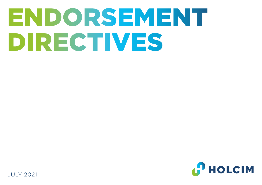# ENDORSEMENT DIRECTIVES



JULY 2021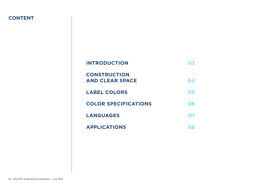## **CONTENT**

| <b>INTRODUCTION</b>                           | ( ).5 |
|-----------------------------------------------|-------|
| <b>CONSTRUCTION</b><br><b>AND CLEAR SPACE</b> | 04    |
| <b>LABEL COLORS</b>                           | 05    |
| <b>COLOR SPECIFICATIONS</b>                   | 06    |
| <b>LANGUAGES</b>                              | 07    |
| <b>APPLICATIONS</b>                           | 78    |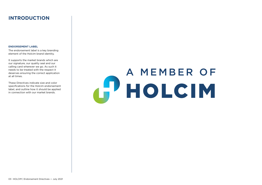# **INTRODUCTION**

#### **ENDORSEMENT LABEL**

The endorsement label is a key branding element of the Holcim brand identity.

It supports the market brands which are our signature, our quality seal and our calling card wherever we go. As such it needs to be treated with the respect it deserves ensuring the correct application at all times.

These Directives indicate size and color specifications for the Holcim endorsement label, and outline how it should be applied in connection with our market brands.

# A MEMBER OF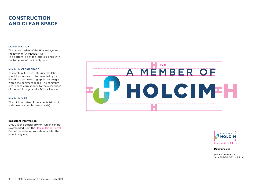# **CONSTRUCTION AND CLEAR SPACE**

#### **CONSTRUCTION**

The label consists of the Holcim logo and the lettering "A MEMBER OF". The bottom line of the lettering ends with the top edge of the infinity icon.

#### **MINIMUM CLEAR SPACE**

To maintain its visual integrity, the label should not appear to be crowded by, or linked to other words, graphics or images within the minimum space. The minimum clear space corresponds to the clear space of the Holcim logo and is 1/2 H all around.

#### **MINIMUM SIZE**

The minimum size of the label is 24 mm in width (as used on business cards).

#### **Important information:**

Only use the official artwork which can be downloaded from the Holcim Brand Portal. Do not recreate, reproportion or alter the label in any way.





Logo width = 24 mm

#### **Minimum size**

(Minimum font size of "A MEMBER OF" is 5.5 pt)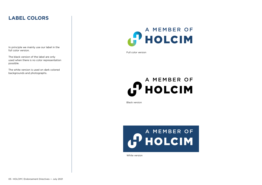# **LABEL COLORS**

In principle we mainly use our label in the full color version.

The black version of the label are only used when there is no color representation possible.

The white version is used on dark colored backgrounds and photographs.

# A MEMBER OF **PHOLCIM**

Full color version

# **CO A MEMBER OF**

Black version



White version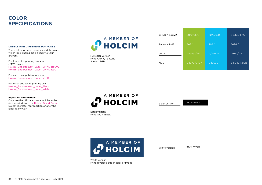## **COLOR SPECIFICATIONS**

#### **LABELS FOR DIFFERENT PURPOSES**

The printing process being used determines which label should be placed into your artwork.

For four color printing process (CMYK) use: Holcim\_Endorsement\_Label\_CMYK\_IsoCV2 Holcim\_Endorsement\_Label\_CMYK\_IsoU

For electronic publications use: Holcim\_Endorsement\_Label\_sRGB

For black and white printing use: Holcim\_Endorsement\_Label\_Black Holcim\_Endorsement\_Label\_White

#### **Important information:**

Only use the official artwork which can be downloaded from the Holcim Brand Portal. Do not recreate, reproportion or alter the label in any way.

A MEMBER OF HOLCIM

Full color version Print: CMYK, Pantone Screen: RGB

| 50/0/95/0  | 70/0/0/0  | 90/62/15/37 |
|------------|-----------|-------------|
| 368 C      | 298 C     | 7694 C      |
| 148/193/46 | 4/187/241 | 29/67/112   |
| S1070-G40Y | S1060B    | S 5040-R80B |
|            |           |             |

A MEMBER OF **HOLCIM** 

Black version

100 % Black

Black version Print: 100 % Black



White version Print: reversed out of color or image White version

100% White